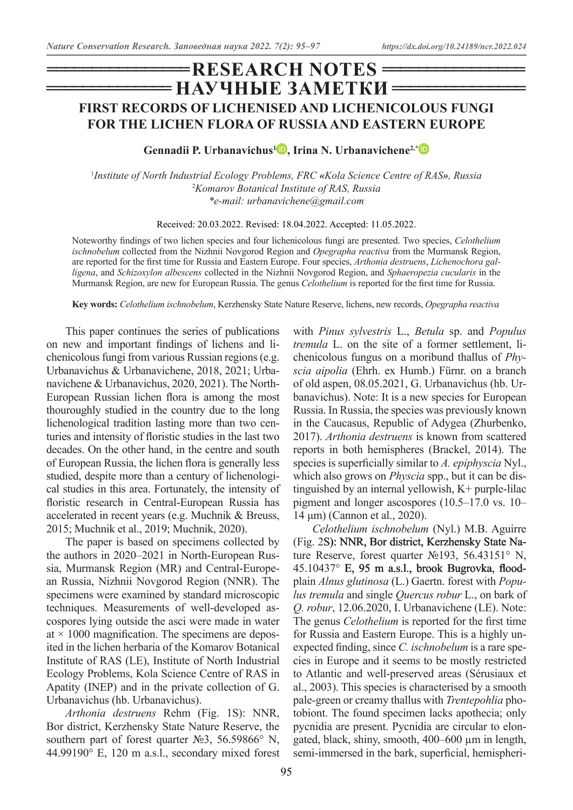# **= НАУЧНЫЕ ЗАМЕТКИ =**  $=$ **RESEARCH NOTES = FIRST RECORDS OF LICHENISED AND LICHENICOLOUS FUNGI FOR THE LICHEN FLORA OF RUSSIA AND EASTERN EUROPE**

**Gennadii P. Urbanavichus[1](https://orcid.org/0000-0003-3222-5151) , Irina N. Urbanavichene2,[\\*](https://orcid.org/0000-0002-5492-5215)**

1 *Institute of North Industrial Ecology Problems, FRC «Kola Science Centre of RAS», Russia* 2 *Komarov Botanical Institute of RAS, Russia \*e-mail: urbanavichene@gmail.com*

Received: 20.03.2022. Revised: 18.04.2022. Accepted: 11.05.2022.

Noteworthy findings of two lichen species and four lichenicolous fungi are presented. Two species, *Celothelium ischnobelum* collected from the Nizhnii Novgorod Region and *Opegrapha reactiva* from the Murmansk Region, are reported for the first time for Russia and Eastern Europe. Four species, *Arthonia destruens*, *Lichenochora galligena*, and *Schizoxylon albescens* collected in the Nizhnii Novgorod Region, and *Sphaeropezia cucularis* in the Murmansk Region, are new for European Russia. The genus *Celothelium* is reported for the first time for Russia.

**Key words:** *Celothelium ischnobelum*, Kerzhensky State Nature Reserve, lichens, new records, *Opegrapha reactiva*

This paper continues the series of publications on new and important findings of lichens and lichenicolous fungi from various Russian regions (e.g. Urbanavichus & Urbanavichene, 2018, 2021; Urbanavichene & Urbanavichus, 2020, 2021). The North-European Russian lichen flora is among the most thouroughly studied in the country due to the long lichenological tradition lasting more than two centuries and intensity of floristic studies in the last two decades. On the other hand, in the centre and south of European Russia, the lichen flora is generally less studied, despite more than a century of lichenological studies in this area. Fortunately, the intensity of floristic research in Central-European Russia has accelerated in recent years (e.g. Muchnik & Breuss, 2015; Muchnik et al., 2019; Muchnik, 2020).

The paper is based on specimens collected by the authors in 2020–2021 in North-European Russia, Murmansk Region (MR) and Central-European Russia, Nizhnii Novgorod Region (NNR). The specimens were examined by standard microscopic techniques. Measurements of well-developed ascospores lying outside the asci were made in water at  $\times$  1000 magnification. The specimens are deposited in the lichen herbaria of the Komarov Botanical Institute of RAS (LE), Institute of North Industrial Ecology Problems, Kola Science Centre of RAS in Apatity (INEP) and in the private collection of G. Urbanavichus (hb. Urbanavichus).

*Arthonia destruens* Rehm (Fig. 1S): NNR, Bor district, Kerzhensky State Nature Reserve, the southern part of forest quarter No 3, 56.59866° N, 44.99190° E, 120 m a.s.l., secondary mixed forest

with *Pinus sylvestris* L., *Betula* sp. and *Populus tremula* L. on the site of a former settlement, lichenicolous fungus on a moribund thallus of *Physcia aipolia* (Ehrh. ex Humb.) Fürnr. on a branch of old aspen, 08.05.2021, G. Urbanavichus (hb. Urbanavichus). Note: It is a new species for European Russia. In Russia, the species was previously known in the Caucasus, Republic of Adygea (Zhurbenko, 2017). *Arthonia destruens* is known from scattered reports in both hemispheres (Brackel, 2014). The species is superficially similar to *A. epiphyscia* Nyl., which also grows on *Physcia* spp., but it can be distinguished by an internal yellowish, K+ purple-lilac pigment and longer ascospores (10.5–17.0 vs. 10– 14 μm) (Cannon et al., 2020).

*Celothelium ischnobelum* (Nyl.) M.B. Aguirre (Fig. 2S): NNR, Bor district, Kerzhensky State Nature Reserve, forest quarter №193, 56.43151° N, 45.10437° E, 95 m a.s.l., brook Bugrovka, floodplain *Alnus glutinosa* (L.) Gaertn. forest with *Populus tremula* and single *Quercus robur* L., on bark of *Q. robur*, 12.06.2020, I. Urbanavichene (LE). Note: The genus *Celothelium* is reported for the first time for Russia and Eastern Europe. This is a highly unexpected finding, since *C. ischnobelum* is a rare species in Europe and it seems to be mostly restricted to Atlantic and well-preserved areas (Sérusiaux et al., 2003). This species is characterised by a smooth pale-green or creamy thallus with *Trentepohlia* photobiont. The found specimen lacks apothecia; only pycnidia are present. Pycnidia are circular to elongated, black, shiny, smooth, 400–600 µm in length, semi-immersed in the bark, superficial, hemispheri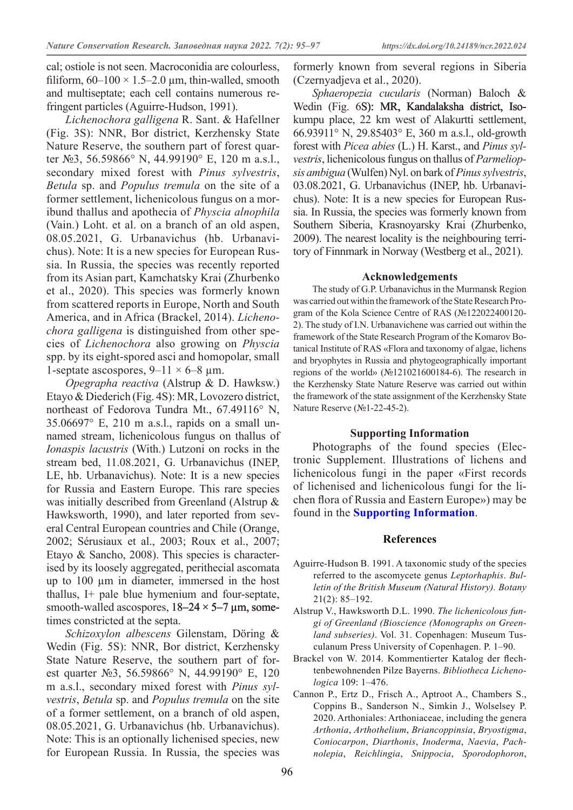cal; ostiole is not seen. Macroconidia are colourless, filiform,  $60-100 \times 1.5-2.0 \mu m$ , thin-walled, smooth and multiseptate; each cell contains numerous refringent particles (Aguirre-Hudson, 1991).

*Lichenochora galligena* R. Sant. & Hafellner (Fig. 3S): NNR, Bor district, Kerzhensky State Nature Reserve, the southern part of forest quarter №3, 56.59866° N, 44.99190° E, 120 m a.s.l., secondary mixed forest with *Pinus sylvestris*, *Betula* sp. and *Populus tremula* on the site of a former settlement, lichenicolous fungus on a moribund thallus and apothecia of *Physcia alnophila*  (Vain.) Loht. et al. on a branch of an old aspen, 08.05.2021, G. Urbanavichus (hb. Urbanavichus). Note: It is a new species for European Russia. In Russia, the species was recently reported from its Asian part, Kamchatsky Krai (Zhurbenko et al., 2020). This species was formerly known from scattered reports in Europe, North and South America, and in Africa (Brackel, 2014). *Lichenochora galligena* is distinguished from other species of *Lichenochora* also growing on *Physcia* spp. by its eight-spored asci and homopolar, small 1-septate ascospores,  $9-11 \times 6-8$  µm.

*Opegrapha reactiva* (Alstrup & D. Hawksw.) Etayo & Diederich (Fig. 4S): MR, Lovozero district, northeast of Fedorova Tundra Mt., 67.49116° N, 35.06697° E, 210 m a.s.l., rapids on a small unnamed stream, lichenicolous fungus on thallus of *Ionaspis lacustris* (With.) Lutzoni on rocks in the stream bed, 11.08.2021, G. Urbanavichus (INEP, LE, hb. Urbanavichus). Note: It is a new species for Russia and Eastern Europe. This rare species was initially described from Greenland (Alstrup & Hawksworth, 1990), and later reported from several Central European countries and Chile (Orange, 2002; Sérusiaux et al., 2003; Roux et al., 2007; Etayo & Sancho, 2008). This species is characterised by its loosely aggregated, perithecial ascomata up to 100 µm in diameter, immersed in the host thallus, I+ pale blue hymenium and four-septate, smooth-walled ascospores,  $18-24 \times 5-7$  µm, sometimes constricted at the septa.

*Schizoxylon albescens* Gilenstam, Döring & Wedin (Fig. 5S): NNR, Bor district, Kerzhensky State Nature Reserve, the southern part of forest quarter №3, 56.59866° N, 44.99190° E, 120 m a.s.l., secondary mixed forest with *Pinus sylvestris*, *Betula* sp. and *Populus tremula* on the site of a former settlement, on a branch of old aspen, 08.05.2021, G. Urbanavichus (hb. Urbanavichus). Note: This is an optionally lichenised species, new for European Russia. In Russia, the species was formerly known from several regions in Siberia (Czernyadjeva et al., 2020).

*Sphaeropezia cucularis* (Norman) Baloch & Wedin (Fig. 6S): MR, Kandalaksha district, Isokumpu place, 22 km west of Alakurtti settlement, 66.93911° N, 29.85403° E, 360 m a.s.l., old-growth forest with *Picea abies* (L.) H. Karst., and *Pinus sylvestris*, lichenicolous fungus on thallus of *Parmeliopsis ambigua* (Wulfen) Nyl. on bark of *Pinussylvestris*, 03.08.2021, G. Urbanavichus (INEP, hb. Urbanavichus). Note: It is a new species for European Russia. In Russia, the species was formerly known from Southern Siberia, Krasnoyarsky Krai (Zhurbenko, 2009). The nearest locality is the neighbouring territory of Finnmark in Norway (Westberg et al., 2021).

#### **Acknowledgements**

The study of G.P. Urbanavichus in the Murmansk Region was carried out within the framework of the State Research Program of the Kola Science Centre of RAS (№122022400120- 2). The study of I.N. Urbanavichene was carried out within the framework of the State Research Program of the Komarov Botanical Institute of RAS «Flora and taxonomy of algae, lichens and bryophytes in Russia and phytogeographically important regions of the world» (№121021600184-6). The research in the Kerzhensky State Nature Reserve was carried out within the framework of the state assignment of the Kerzhensky State Nature Reserve (№1-22-45-2).

#### **Supporting Information**

Photographs of the found species (Electronic Supplement. Illustrations of lichens and lichenicolous fungi in the paper «First records of lichenised and lichenicolous fungi for the lichen flora of Russia and Eastern Europe») may be found in the **[Supporting Information](https://dx.doi.org/10.24189/ncr.2022.024)**.

#### **References**

- Aguirre-Hudson B. 1991. A taxonomic study of the species referred to the ascomycete genus *Leptorhaphis*. *Bulletin of the British Museum (Natural History). Botany* 21(2): 85–192.
- Alstrup V., Hawksworth D.L. 1990. *The lichenicolous fungi of Greenland (Bioscience (Monographs on Greenland subseries)*. Vol. 31. Copenhagen: Museum Tusculanum Press University of Copenhagen. P. 1–90.
- Brackel von W. 2014. Kommentierter Katalog der flechtenbewohnenden Pilze Bayerns. *Bibliotheca Lichenologica* 109: 1–476.
- Cannon P., Ertz D., Frisch A., Aptroot A., Chambers S., Coppins B., Sanderson N., Simkin J., Wolselsey P. 2020. Arthoniales: Arthoniaceae, including the genera *Arthonia*, *Arthothelium*, *Briancoppinsia*, *Bryostigma*, *Coniocarpon*, *Diarthonis*, *Inoderma*, *Naevia*, *Pachnolepia*, *Reichlingia*, *Snippocia*, *Sporodophoron*,